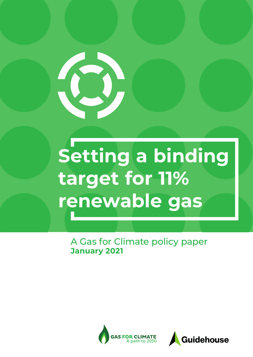

# **Setting a binding target for 11% renewable gas**

A Gas for Climate policy paper **January 2021**



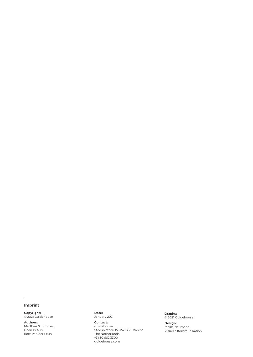#### **Imprint**

**Copyright:** © 2021 Guidehouse

**Authors:**  Matthias Schimmel, Daan Peters, Kees van der Leun

**Date:** January 2021

**Contact:**  Guidehouse Stadsplateau 15, 3521 AZ Utrecht The Netherlands +31 30 662 3300 [guidehouse.com](http://guidehouse.com)

**Graphs:** © 2021 Guidehouse

**Design:** Meike Naumann Visuelle Kommunikation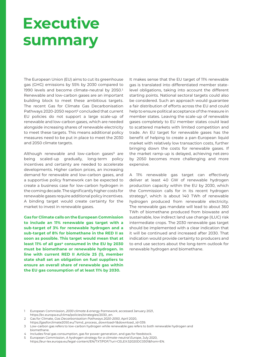## **Executive summary**

The European Union (EU) aims to cut its greenhouse gas (GHG) emissions by 55% by 2030 compared to 1990 levels and become climate-neutral by 2050.<sup>1</sup> Renewable and low-carbon gases are an important building block to meet these ambitious targets. The recent Gas for Climate Gas Decarbonisation Pathways 2020-2050 report<sup>2</sup> concluded that current EU policies do not support a large scale-up of renewable and low-carbon gases, which are needed alongside increasing shares of renewable electricity to meet these targets. This means additional policy measures need to be put in place to meet the 2030 and 2050 climate targets.

Although renewable and low-carbon gases $3$  are being scaled-up gradually, long-term policy incentives and certainty are needed to accelerate developments. Higher carbon prices, an increasing demand for renewable and low-carbon gases, and a supportive policy framework can be expected to create a business case for low-carbon hydrogen in the coming decade. The significantly higher costs for renewable gases require additional policy incentives. A binding target would create certainty for the market to invest in renewable gases.

**Gas for Climate calls on the European Commission to include an 11% renewable gas target with a sub-target of 3% for renewable hydrogen and a sub-target of 8% for biomethane in the RED II as soon as possible. This target would mean that at**  least 11% of all gas<sup>4</sup> consumed in the EU by 2030 **must be biomethane or renewable hydrogen. In line with current RED II Article 25 (1), member state shall set an obligation on fuel suppliers to ensure an overall share of renewable gas within the EU gas consumption of at least 11% by 2030.**

It makes sense that the EU target of 11% renewable gas is translated into differentiated member statelevel obligations, taking into account the different starting points. National sectoral targets could also be considered. Such an approach would guarantee a fair distribution of efforts across the EU and could help to ensure political acceptance of the measure in member states. Leaving the scale-up of renewable gases completely to EU member states could lead to scattered markets with limited competition and trade. An EU target for renewable gases has the benefit of helping to create a pan-European liquid market with relatively low transaction costs, further bringing down the costs for renewable gases. If the market ramp-up is delayed, achieving net-zero by 2050 becomes more challenging and more expensive.

A 11% renewable gas target can effectively deliver at least 40 GW of renewable hydrogen production capacity within the EU by 2030, which the Commission calls for in its recent hydrogen strategy<sup>5</sup>, which is about 140 TWh of renewable hydrogen produced from renewable electricity. The renewable gas mandate will lead to about 360 TWh of biomethane produced from biowaste and sustainable, low indirect land use change (ILUC) risk intermediate crops. The 2030 renewable gas target should be implemented with a clear indication that it will be continued and increased after 2030. That indication would provide certainty to producers and to end use sectors about the long-term outlook for renewable hydrogen and biomethane.

1 European Commission, *2030 climate & energy framework*, accessed January 2021, [https://ec.europa.eu/clima/policies/strategies/2030\\_en.](https://ec.europa.eu/clima/policies/strategies/2030_en)

- 2 Gas for Climate, *Gas Decarbonisation Pathways 2020-2050*, April 2020,
- [https://gasforclimate2050.eu/?smd\\_process\\_download=1&download\\_id=339](https://gasforclimate2050.eu/?smd_process_download=1&download_id=339).
- 3 Low-carbon gas refers to low-carbon hydrogen while renewable gas refers to both renewable hydrogen and biomethane.
- 4 Includes final gas consumption, gas for power generation, and gas for feedstock.
- 5 European Commission, *A hydrogen strategy for a climate-neutral Europe*, July 2020, [https://eur-lex.europa.eu/legal-content/EN/TXT/PDF/?uri=CELEX](https://eur-lex.europa.eu/legal-content/EN/TXT/PDF/?uri=CELEX:52020DC0301&from=EN.):52020DC0301&from=EN.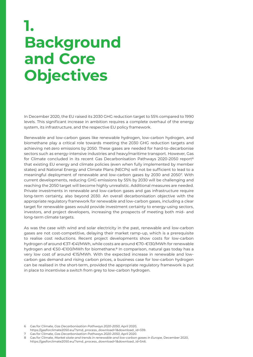## **1. Background and Core Objectives**

In December 2020, the EU raised its 2030 GHG reduction target to 55% compared to 1990 levels. This significant increase in ambition requires a complete overhaul of the energy system, its infrastructure, and the respective EU policy framework.

Renewable and low-carbon gases like renewable hydrogen, low-carbon hydrogen, and biomethane play a critical role towards meeting the 2030 GHG reduction targets and achieving net-zero emissions by 2050. These gases are needed for hard-to-decarbonise sectors such as energy-intensive industries and heavy/maritime transport. However, Gas for Climate concluded in its recent Gas Decarbonisation Pathways 2020-2050 report<sup>6</sup> that existing EU energy and climate policies (even when fully implemented by member states) and National Energy and Climate Plans (NECPs) will not be sufficient to lead to a meaningful deployment of renewable and low-carbon gases by 2030 and 20507. With current developments, reducing GHG emissions by 55% by 2030 will be challenging and reaching the 2050 target will become highly unrealistic. Additional measures are needed. Private investments in renewable and low-carbon gases and gas infrastructure require long-term certainty, also beyond 2030. An overall decarbonisation objective with the appropriate regulatory framework for renewable and low-carbon gases, including a clear target for renewable gases would provide investment certainty to energy-using sectors, investors, and project developers, increasing the prospects of meeting both mid- and long-term climate targets.

As was the case with wind and solar electricity in the past, renewable and low-carbon gases are not cost-competitive, delaying their market ramp-up, which is a prerequisite to realise cost reductions. Recent project developments show costs for low-carbon hydrogen of around €37-€41/MWh, while costs are around €70-€130/MWh for renewable hydrogen and €50-€100/MWh for biomethane.8 In comparison, natural gas today has a very low cost of around €15/MWh. With the expected increase in renewable and lowcarbon gas demand and rising carbon prices, a business case for low-carbon hydrogen can be realised in the short-term, provided the appropriate regulatory framework is put in place to incentivise a switch from grey to low-carbon hydrogen.

- [https://gasforclimate2050.eu/?smd\\_process\\_download=1&download\\_id=339](https://gasforclimate2050.eu/?smd_process_download=1&download_id=339).
- 7 Gas for Climate, *Gas Decarbonisation Pathways 2020-2050*, April 2020.
- 8 Gas for Climate, *Market state and trends in renewable and low-carbon gases in Europe,* December 2020, [https://gasforclimate2050.eu/?smd\\_process\\_download=1&download\\_id=546](https://gasforclimate2050.eu/?smd_process_download=1&download_id=546).

<sup>6</sup> Gas for Climate, *Gas Decarbonisation Pathways 2020-2050*, April 2020,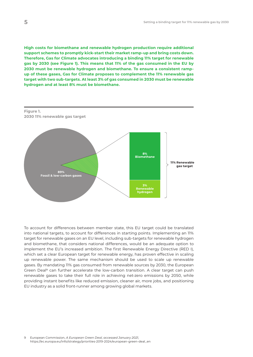**High costs for biomethane and renewable hydrogen production require additional support schemes to promptly kick-start their market ramp-up and bring costs down. Therefore, Gas for Climate advocates introducing a binding 11% target for renewable gas by 2030 (see Figure 1). This means that 11% of the gas consumed in the EU by 2030 must be renewable hydrogen and biomethane. To ensure a consistent rampup of these gases, Gas for Climate proposes to complement the 11% renewable gas target with two sub-targets. At least 3% of gas consumed in 2030 must be renewable hydrogen and at least 8% must be biomethane.** 



To account for differences between member state, this EU target could be translated into national targets, to account for differences in starting points. Implementing an 11% target for renewable gases on an EU level, including sub-targets for renewable hydrogen and biomethane, that considers national differences, would be an adequate option to implement the EU's increased ambition. The first Renewable Energy Directive (RED I), which set a clear European target for renewable energy, has proven effective in scaling up renewable power. The same mechanism should be used to scale up renewable gases. By mandating 11% gas consumed from renewable sources by 2030, the European Green Deal<sup>9</sup> can further accelerate the low-carbon transition. A clear target can push renewable gases to take their full role in achieving net-zero emissions by 2050, while providing instant benefits like reduced emission, cleaner air, more jobs, and positioning EU industry as a solid front-runner among growing global markets.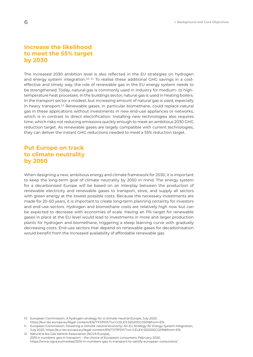#### **Increase the likelihood to meet the 55% target by 2030**

The increased 2030 ambition level is also reflected in the EU strategies on hydrogen and energy system integration.<sup>10, 11</sup> To realise these additional GHG savings in a costeffective and timely way, the role of renewable gas in the EU energy system needs to be strengthened. Today, natural gas is commonly used in industry for medium- to hightemperature heat processes. In the buildings sector, natural gas is used in heating boilers. In the transport sector a modest, but increasing amount of natural gas is used, especially in heavy transport.12 Renewable gases, in particular biomethane, could replace natural gas in these applications without investments in new end-use appliances or networks, which is in contrast to direct electrification. Installing new technologies also requires time, which risks not reducing emissions quickly enough to meet an ambitious 2030 GHG reduction target. As renewable gases are largely compatible with current technologies, they can deliver the instant GHG reductions needed to meet a 55% reduction target.

#### **Put Europe on track to climate neutrality by 2050**

When designing a new, ambitious energy and climate framework for 2030, it is important to keep the long-term goal of climate neutrality by 2050 in mind. The energy system for a decarbonised Europe will be based on an interplay between the production of renewable electricity and renewable gases to transport, store, and supply all sectors with green energy at the lowest possible costs. Because the necessary investments are made for 20-60 years, it is important to create long-term planning certainty for investors and end-use sectors. Hydrogen and biomethane costs are relatively high now but can be expected to decrease with economies of scale. Having an 11% target for renewable gases in place at the EU level would lead to investments in more and larger production plants for hydrogen and biomethane, triggering a steep learning curve with gradually decreasing costs. End-use sectors that depend on renewable gases for decarbonisation would benefit from the increased availability of affordable renewable gas.

11 European Commission, *Powering a climate-neutral economy: An EU Strategy for Energy System Integration,*

<sup>10</sup> European Commission, *A hydrogen strategy for a climate-neutral Europe*, July 2020, [https://eur-lex.europa.eu/legal-content/EN/TXT/PDF/?uri=CELEX](https://eur-lex.europa.eu/legal-content/EN/TXT/PDF/?uri=CELEX:52020DC0301&from=EN.):52020DC0301&from=EN.

July 2020, [https://eur-lex.europa.eu/legal-content/EN/TXT/PDF/?uri=CELEX](https://eur-lex.europa.eu/legal-content/EN/TXT/PDF/?uri=CELEX:52020DC0299&from=EN.):52020DC0299&from=EN. 12 Natural & bio Gas Vehicle Association (NGVA Europe),

*<sup>2019</sup> in numbers: gas in transport – the choice of European consumers*, February 2020, <https://www.ngva.eu/medias/2019-in-numbers-gas-in-transport-to-satisfy-european-consumers/>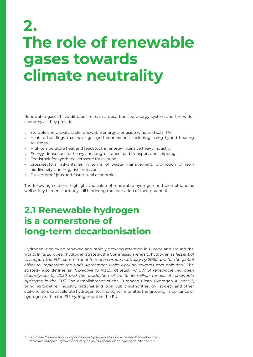## **2. The role of renewable gases towards climate neutrality**

Renewable gases have different roles in a decarbonised energy system and the wider economy as they provide:

- → Storable and dispatchable renewable energy alongside wind and solar PV;
- → Heat to buildings that have gas grid connections, including using hybrid heating solutions;
- → High temperature heat and feedstock in energy-intensive heavy industry;
- → Energy-dense fuel for heavy and long-distance road transport and shipping;
- → Feedstock for synthetic kerosene for aviation;
- → Cross-sectoral advantages in terms of waste management, promotion of (soil) biodiversity, and negative emissions;
- → Future-proof jobs and foster rural economies.

The following sections highlight the value of renewable hydrogen and biomethane as well as key barriers currently still hindering the realisation of their potential.

### **2.1 Renewable hydrogen is a cornerstone of long-term decarbonisation**

Hydrogen is enjoying renewed and rapidly growing attention in Europe and around the world. In its European hydrogen strategy, the Commission refers to hydrogen as *"essential*  to support the EU's commitment to reach carbon neutrality by 2050 and for the global *effort to implement the Paris Agreement while working towards zero pollution."* The strategy also defines an *"objective to install at least 40 GW of renewable hydrogen electrolysers by 2030 and the production of up to 10 million tonnes of renewable hydrogen in the EU".* The establishment of the European Clean Hydrogen Alliance13, bringing together industry, national and local public authorities, civil society and other stakeholders to accelerate hydrogen technologies, reiterates the growing importance of hydrogen within the EU. hydrogen within the EU.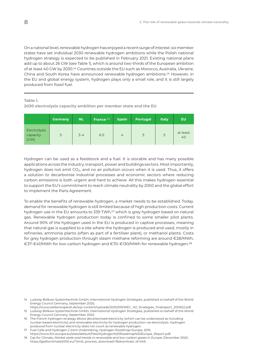On a national level, renewable hydrogen has enjoyed a recent surge of interest: six member states have set individual 2030 renewable hydrogen ambitions while the Polish national hydrogen strategy is expected to be published in February 2021. Existing national plans add up to about 26 GW (see Table 1), which is around two-thirds of the European ambition of at least 40 GW by 2030.14 Countries outside the EU such as Morocco, Australia, Ukraine, China and South Korea have announced renewable hydrogen ambitions.15 However, in the EU and global energy system, hydrogen plays only a small role, and it is still largely produced from fossil fuel.

**Table 1.** 

**2030 electrolysis capacity ambition per member state and the EU**

|                                  | Germany | <b>NL</b> | France <sup>16</sup> | <b>Spain</b>   | <b>Portugal</b> | <b>Italy</b> | EU             |
|----------------------------------|---------|-----------|----------------------|----------------|-----------------|--------------|----------------|
| Electrolysis<br>capacity<br>(CW) | 5       | $3 - 4$   | 6.5                  | $\overline{4}$ | 3               | 5            | at least<br>40 |

Hydrogen can be used as a feedstock and a fuel. It is storable and has many possible applications across the industry, transport, power and buildings sectors. Most importantly, hydrogen does not emit  $CO<sub>2</sub>$ , and no air pollution occurs when it is used. Thus, it offers a solution to decarbonise industrial processes and economic sectors where reducing carbon emissions is both urgent and hard to achieve. All this makes hydrogen essential to support the EU's commitment to reach climate neutrality by 2050 and the global effort to implement the Paris Agreement.

To enable the benefits of renewable hydrogen, a market needs to be established. Today, demand for renewable hydrogen is still limited because of high production costs. Current hydrogen use in the EU amounts to 339 TWh,17 which is grey hydrogen based on natural gas. Renewable hydrogen production today is confined to some smaller pilot plants. Around 90% of the hydrogen used in the EU is produced in captive processes, meaning that natural gas is supplied to a site where the hydrogen is produced and used, mostly in refineries, ammonia plants (often as part of a fertiliser plant), or methanol plants. Costs for grey hydrogen production through steam methane reforming are around €28/MWh, €37-€41/MWh for low-carbon hydrogen and €70-€130/MWh for renewable hydrogen.18

17 Fuel Cells and Hydrogen 2 Joint Undertaking, *Hydrogen Roadmap Europe*, 2019, [https://www.fch.europa.eu/sites/default/files/Hydrogen%20Roadmap%20Europe\\_Report.pdf](https://www.fch.europa.eu/sites/default/files/Hydrogen%20Roadmap%20Europe_Report.pdf).

18 Gas for Climate, *Market state and trends in renewable and low-carbon gases in Europe*, December 2020, [https://gasforclimate2050.eu/?smd\\_process\\_download=1&download\\_id=546](https://gasforclimate2050.eu/?smd_process_download=1&download_id=546).

<sup>14</sup> Ludwig-Bölkow-Systemtechnik GmbH, *International Hydrogen Strategies*, published on behalf of the World Energy Council Germany, September 2020,

[https://www.weltenergierat.de/wp-content/uploads/2020/09/WEC\\_H2\\_Strategies\\_finalreport\\_200922.pdf](https://www.weltenergierat.de/wp-content/uploads/2020/09/WEC_H2_Strategies_finalreport_200922.pdf). 15 Ludwig-Bölkow-Systemtechnik GmbH, *International Hydrogen Strategies*, published on behalf of the World Energy Council Germany, September 2020.

<sup>16</sup> The French hydrogen strategy allows decarbonised electricity (which can be understood as including nuclear-based electricity) and renewable electricity for hydrogen production via electrolysis. Hydrogen produced from nuclear electricity does not count as renewable hydrogen.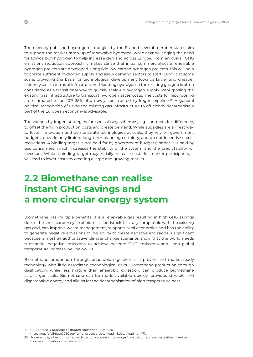The recently published hydrogen strategies by the EU and several member states aim to support the market ramp-up of renewable hydrogen, while acknowledging the need for low-carbon hydrogen to help increase demand across Europe. From an overall GHG emissions reduction approach it makes sense that initial commercial-scale renewable hydrogen projects are developed alongside low-carbon hydrogen projects; this will help to create sufficient hydrogen supply and allow demand sectors to start using it at some scale, providing the basis for technological development towards larger and cheaper electrolysers. In terms of infrastructure, blending hydrogen in the existing gas grid is often considered as a transitional way to quickly scale-up hydrogen supply. Repurposing the existing gas infrastructure to transport hydrogen saves costs. The costs for repurposing are estimated to be 10%-35% of a newly constructed hydrogen pipeline.<sup>19</sup> A general political recognition of using the existing gas infrastructure to efficiently decarbonise a part of the European economy is advisable.

The various hydrogen strategies foresee subsidy schemes, e.g. contracts for difference, to offset the high production costs and create demand. While subsidies are a great way to foster innovation and demonstrate technologies at scale, they rely on government budgets, provide only limited long-term planning certainty, and do not incentivise cost reductions. A binding target is not paid for by government budgets; rather it is paid by gas consumers, which increases the stability of the system and the predictability for investors. While a binding target may initially increase costs for market participants, it will lead to lower costs by creating a large and growing market.

### **2.2 Biomethane can realise instant GHG savings and a more circular energy system**

Biomethane has multiple benefits. It is a renewable gas resulting in high GHG savings due to the short carbon cycle of biomass feedstock. It is fully compatible with the existing gas grid, can improve waste management, supports rural economies and has the ability to generate negative emissions.<sup>20</sup> The ability to create negative emissions is significant because almost all authoritative climate change scenarios show that the world needs substantial negative emissions to achieve net-zero GHG emissions and keep global temperature increase well below 2°C.

Biomethane production through anaerobic digestion is a proven and market-ready technology with little associated technological risks. Biomethane production through gasification, while less mature than anaerobic digestion, can produce biomethane at a larger scale. Biomethane can be made available quickly, provides storable and dispatchable energy and allows for the decarbonisation of high temperature heat.

19 Guidehouse, *European Hydrogen Backbone*, July 2020,

[https://gasforclimate2050.eu/?smd\\_process\\_download=1&download\\_id=471](https://gasforclimate2050.eu/?smd_process_download=1&download_id=471).

20 For example, when combined with carbon capture and storage from carbon soil sequestration linked to biomass cultivation intensification.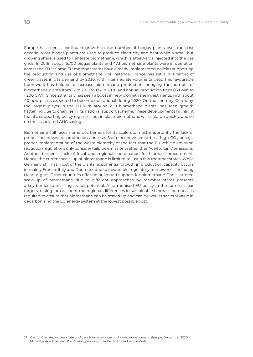Europe has seen a continued growth in the number of biogas plants over the past decade. Most biogas plants are used to produce electricity and heat while a small but growing share is used to generate biomethane, which is afterwards injected into the gas grids. In 2018, about 16,700 biogas plants and 473 biomethane plants were in operation across the EU.21 Some EU member states have already implemented policies supporting the production and use of biomethane. For instance, France has set a 10% target of green gases in gas demand by 2030, with intermediate volume targets. This favourable framework has helped to increase biomethane production, bringing the number of biomethane plants from 17 in 2015 to 172 in 2020 and annual production from 83 GWh to 1,200 GWh. Since 2019, Italy has seen a boost in new biomethane investments, with about 40 new plants expected to become operational during 2020. On the contrary, Germany, the largest player in the EU with around 200 biomethane plants, has seen growth flattening due to changes in its national support scheme. These developments highlight that if a supporting policy regime is put in place, biomethane will scale-up quickly, and so do the associated GHG savings.

Biomethane still faces numerous barriers for its scale-up, most importantly the lack of proper incentives for production and use. Such incentive could be a high  $CO<sub>2</sub>$  price, a proper implementation of the waste hierarchy or the fact that the EU vehicle emission reduction regulations only consider tailpipe emissions rather than 'well to tank' emissions. Another barrier is lack of local and regional coordination for biomass procurement. Hence, the current scale-up of biomethane is limited to just a few member states. While Germany still has most of the plants, exponential growth in production capacity occurs in mainly France, Italy and Denmark due to favourable regulatory frameworks, including clear targets. Other countries offer no or limited support for biomethane. The scattered scale-up of biomethane due to different approaches by member states presents a key barrier to realising its full potential. A harmonised EU policy in the form of clear targets, taking into account the regional differences in sustainable biomass potential, is required to ensure that biomethane can be scaled up and can deliver its societal value in decarbonising the EU energy system at the lowest possible cost.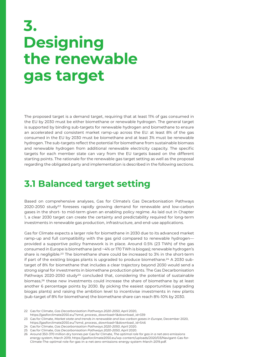## **3. Designing the renewable gas target**

The proposed target is a demand target, requiring that at least 11% of gas consumed in the EU by 2030 must be either biomethane or renewable hydrogen. The general target is supported by binding sub-targets for renewable hydrogen and biomethane to ensure an accelerated and consistent market ramp-up across the EU: at least 8% of the gas consumed in the EU by 2030 must be biomethane and at least 3% must be renewable hydrogen. The sub-targets reflect the potential for biomethane from sustainable biomass and renewable hydrogen from additional renewable electricity capacity. The specific targets for each member state can vary from the EU targets based on the different starting points. The rationale for the renewable gas target setting as well as the proposal regarding the obligated party and implementation is described in the following sections.

#### **3.1 Balanced target setting**

Based on comprehensive analyses, Gas for Climate's Gas Decarbonisation Pathways 2020-2050 study22 foresees rapidly growing demand for renewable and low-carbon gases in the short- to mid-term given an enabling policy regime. As laid out in Chapter 1, a clear 2030 target can create the certainty and predictability required for long-term investments in renewable gas production, infrastructure, and end-use applications.

Gas for Climate expects a larger role for biomethane in 2030 due to its advanced market ramp-up and full compatibility with the gas grid compared to renewable hydrogen provided a supportive policy framework is in place. Around 0.5% (23 TWh) of the gas consumed in Europe is biomethane (and ~4% or 170 TWh is biogas); renewable hydrogen's share is negligible.<sup>23</sup> The biomethane share could be increased to 3% in the short-term if part of the existing biogas plants is upgraded to produce biomethane.24 A 2030 subtarget of 8% for biomethane that includes a clear trajectory beyond 2030 would send a strong signal for investments in biomethane production plants. The Gas Decarbonisation Pathways 2020-2050 study<sup>25</sup> concluded that, considering the potential of sustainable biomass,26 these new investments could increase the share of biomethane by at least another 6 percentage points by 2030. By picking the easiest opportunities (upgrading biogas plants) and raising the ambition level to incentivise investments in new plants (sub-target of 8% for biomethane) the biomethane share can reach 8%-10% by 2030.

<sup>22</sup> Gas for Climate, *Gas Decarbonisation Pathways 2020-2050*, April 2020,

[https://gasforclimate2050.eu/?smd\\_process\\_download=1&download\\_id=339](https://gasforclimate2050.eu/?smd_process_download=1&download_id=339) 23 Gas for Climate, *Market state and trends in renewable and low-carbon gases in Europe*, December 2020,

[https://gasforclimate2050.eu/?smd\\_process\\_download=1&download\\_id=546](https://gasforclimate2050.eu/?smd_process_download=1&download_id=546) 24 Gas for Climate, *Gas Decarbonisation Pathways 2020-2050*, April 2020.

<sup>25</sup> Gas for Climate, *Gas Decarbonisation Pathways 2020-2050*, April 2020.

<sup>26</sup> Around 350-370 million dry tonnes per Gas for Climate, *The optimal role for gas in a net-zero emissions energy system*, March 2019, [https://gasforclimate2050.eu/wp-content/uploads/2020/03/Navigant-Gas-for-](https://gasforclimate2050.eu/wp-content/uploads/2020/03/Navigant-Gas-for-Climate-The-optimal-role-for-gas-in-a-net-zero-emissions-energy-system-March-2019.pdf)[Climate-The-optimal-role-for-gas-in-a-net-zero-emissions-energy-system-March-2019.pdf.](https://gasforclimate2050.eu/wp-content/uploads/2020/03/Navigant-Gas-for-Climate-The-optimal-role-for-gas-in-a-net-zero-emissions-energy-system-March-2019.pdf)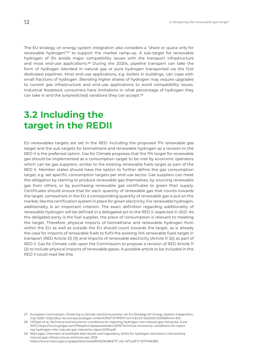The EU strategy on energy system integration also considers a "share or quota only for renewable hydrogen"27 to support the market ramp-up. A sub-target for renewable hydrogen of 3% avoids major compatibility issues with the transport infrastructure and most end-use applications.28 During the 2020s, pipeline transport can take the form of hydrogen blended in natural gas or pure hydrogen transported via the first dedicated pipelines. Most end-use applications, e.g. boilers in buildings, can cope with small fractions of hydrogen. Blending higher shares of hydrogen may require upgrades to current gas infrastructure and end-use applications to avoid compatibility issues. Industrial feedstock consumers have limitations in what percentage of hydrogen they can take in and the (unpredicted) variations they can accept.29

### **3.2 Including the target in the REDII**

EU renewables targets are set in the RED. Including the proposed 11% renewable gas target and the sub-targets for biomethane and renewable hydrogen as a revision to the RED II is the preferred option. Gas for Climate proposes that the 11% target for renewable gas should be implemented as a consumption target to be met by economic operators which can be gas suppliers, similar to the existing renewable fuels target as part of the RED II. Member states should have the option to further define the gas consumption target, e.g. set specific consumption targets per end-use sector. Gas suppliers can meet the obligation by starting to produce renewable gas themselves, by sourcing renewable gas from others, or by purchasing renewable gas certificates to green their supply. Certificates should ensure that for each quantity of renewable gas that counts towards the target, somewhere in the EU a corresponding quantity of renewable gas is put on the market, like the certification system in place for green electricity. For renewable hydrogen, additionality is an important criterion. The exact definition regarding additionality of renewable hydrogen will be defined in a delegated act to the RED II, expected in 2021. As the obligated party is the fuel supplier, the place of consumption is relevant to meeting the target. Therefore, physical imports of biomethane and renewable hydrogen from within the EU as well as outside the EU should count towards the target, as is already the case for imports of renewable fuels to fulfil the existing 14% renewable fuels target in transport (RED Article 25 (1)) and imports of renewable electricity (Article 11 (2)) as part of RED II. Gas for Climate calls upon the Commission to propose a revision of RED Article 11 (2) to include physical imports of renewable gases. A possible article to be included in the RED II could read like this:

<sup>27</sup> European Commission, *Powering a climate-neutral economy: An EU Strategy for Energy System Integration*, July 2020, [https://eur-lex.europa.eu/legal-content/EN/TXT/PDF/?uri=CELEX](https://eur-lex.europa.eu/legal-content/EN/TXT/PDF/?uri=CELEX:52020DC0299&from=EN.):52020DC0299&from=EN.

<sup>28</sup> GRTgaz et al, *Technical and economic conditions for injecting hydrogen into natural gas networks*, June 2019, [https://www.grtgaz.com/fileadmin/plaquettes/en/2019/Technical-economic-conditions-for-inject](https://www.grtgaz.com/fileadmin/plaquettes/en/2019/Technical-economic-conditions-for-injecting-hydrogen-into-natural-gas-networks-report2019.pdf)[ing-hydrogen-into-natural-gas-networks-report2019.pdf.](https://www.grtgaz.com/fileadmin/plaquettes/en/2019/Technical-economic-conditions-for-injecting-hydrogen-into-natural-gas-networks-report2019.pdf)

<sup>29</sup> Marcogaz, *Overview of available test results and regulatory limits for hydrogen admission into existing natural gas infrastructure and end use*, 2019, [https://www.marcogaz.org/app/download/8105290863/TF\\_H2-427.pdf?t=1574766383.](https://www.marcogaz.org/app/download/8105290863/TF_H2-427.pdf?t=1574766383)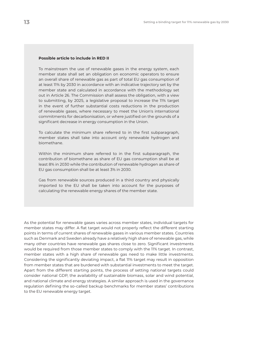#### **Possible article to include in RED II**

To mainstream the use of renewable gases in the energy system, each member state shall set an obligation on economic operators to ensure an overall share of renewable gas as part of total EU gas consumption of at least 11% by 2030 in accordance with an indicative trajectory set by the member state and calculated in accordance with the methodology set out in Article 26. The Commission shall assess the obligation, with a view to submitting, by 2025, a legislative proposal to increase the 11% target in the event of further substantial costs reductions in the production of renewable gases, where necessary to meet the Union's international commitments for decarbonisation, or where justified on the grounds of a significant decrease in energy consumption in the Union.

To calculate the minimum share referred to in the first subparagraph, member states shall take into account only renewable hydrogen and biomethane.

Within the minimum share referred to in the first subparagraph, the contribution of biomethane as share of EU gas consumption shall be at least 8% in 2030 while the contribution of renewable hydrogen as share of EU gas consumption shall be at least 3% in 2030.

Gas from renewable sources produced in a third country and physically imported to the EU shall be taken into account for the purposes of calculating the renewable energy shares of the member state.

As the potential for renewable gases varies across member states, individual targets for member states may differ. A flat target would not properly reflect the different starting points in terms of current shares of renewable gases in various member states. Countries such as Denmark and Sweden already have a relatively high share of renewable gas, while many other countries have renewable gas shares close to zero. Significant investments would be required from those member states to comply with the 11% target. In contrast, member states with a high share of renewable gas need to make little investments. Considering the significantly deviating impact, a flat 11% target may result in opposition from member states that are burdened with substantial investments to meet the target. Apart from the different starting points, the process of setting national targets could consider national GDP, the availability of sustainable biomass, solar and wind potential, and national climate and energy strategies. A similar approach is used in the governance regulation defining the so-called backup benchmarks for member states' contributions to the EU renewable energy target.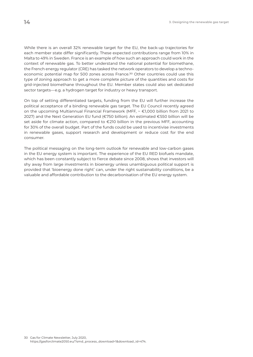While there is an overall 32% renewable target for the EU, the back-up trajectories for each member state differ significantly. These expected contributions range from 10% in Malta to 49% in Sweden. France is an example of how such an approach could work in the context of renewable gas. To better understand the national potential for biomethane, the French energy regulator (CRE) has tasked the network operators to develop a technoeconomic potential map for 500 zones across France.30 Other countries could use this type of zoning approach to get a more complete picture of the quantities and costs for grid-injected biomethane throughout the EU. Member states could also set dedicated sector targets—e.g. a hydrogen target for industry or heavy transport.

On top of setting differentiated targets, funding from the EU will further increase the political acceptance of a binding renewable gas target. The EU Council recently agreed on the upcoming Multiannual Financial Framework (MFF, ~ €1,000 billion from 2021 to 2027) and the Next Generation EU fund (€750 billion). An estimated €550 billion will be set aside for climate action, compared to €210 billion in the previous MFF, accounting for 30% of the overall budget. Part of the funds could be used to incentivise investments in renewable gases, support research and development or reduce cost for the end consumer.

The political messaging on the long-term outlook for renewable and low-carbon gases in the EU energy system is important. The experience of the EU RED biofuels mandate, which has been constantly subject to fierce debate since 2008, shows that investors will shy away from large investments in bioenergy unless unambiguous political support is provided that 'bioenergy done right' can, under the right sustainability conditions, be a valuable and affordable contribution to the decarbonisation of the EU energy system.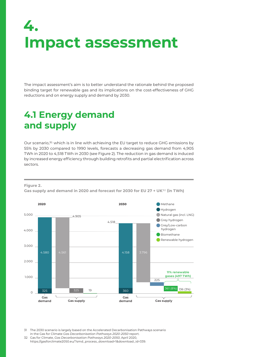## **4. Impact assessment**

The impact assessment's aim is to better understand the rationale behind the proposed binding target for renewable gas and its implications on the cost-effectiveness of GHG reductions and on energy supply and demand by 2030.

### **4.1 Energy demand and supply**

Our scenario,31 which is in line with achieving the EU target to reduce GHG emissions by 55% by 2030 compared to 1990 levels, forecasts a decreasing gas demand from 4,905 TWh in 2020 to 4,518 TWh in 2030 (see Figure 2). The reduction in gas demand is induced by increased energy efficiency through building retrofits and partial electrification across sectors.

**Figure 2.** 





31 The 2030 scenario is largely based on the Accelerated Decarbonisation Pathways scenario in the Gas for Climate *Gas Decarbonisation Pathways 2020-2050* report.

32 Gas for Climate, *Gas Decarbonisation Pathways 2020-2050*, April 2020, [https://gasforclimate2050.eu/?smd\\_process\\_download=1&download\\_id=339](https://gasforclimate2050.eu/?smd_process_download=1&download_id=339).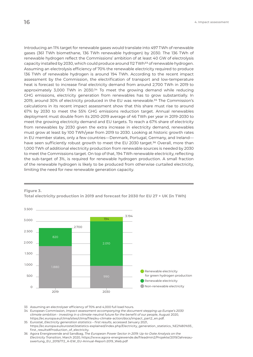Introducing an 11% target for renewable gases would translate into 497 TWh of renewable gases (361 TWh biomethane, 136 TWh renewable hydrogen) by 2030. The 136 TWh of renewable hydrogen reflect the Commissions' ambition of at least 40 GW of electrolysis

capacity installed by 2030, which could produce around 112 TWh<sup>33</sup> of renewable hydrogen. Assuming an electrolysis efficiency of 70% the renewable electricity required to produce 136 TWh of renewable hydrogen is around 194 TWh. According to the recent impact assessment by the Commission, the electrification of transport and low-temperature heat is forecast to increase final electricity demand from around 2,700 TWh in 2019 to approximately 3,000 TWh in 2030.<sup>34</sup> To meet the growing demand while reducing GHG emissions, electricity generation from renewables has to grow substantially. In 2019, around 30% of electricity produced in the EU was renewable.35 The Commission's calculations in its recent impact assessment show that this share must rise to around 67% by 2030 to meet the 55% GHG emissions reduction target. Annual renewables deployment must double from its 2010-2019 average of 46 TWh per year in 2019-2030 to meet the growing electricity demand and EU targets. To reach a 67% share of electricity from renewables by 2030 given the extra increase in electricity demand, renewables must grow at least by 100 TWh/year from 2019 to 2030. Looking at historic growth rates in EU member states, only a few countries—Denmark, Portugal, Germany, and Ireland have seen sufficiently robust growth to meet the EU 2030 target.<sup>36</sup> Overall, more than 1,000 TWh of additional electricity production from renewable sources is needed by 2030 to meet the Commissions target. On top of that, 194 TWh renewable electricity, reflecting the sub-target of 3%, is required for renewable hydrogen production. A small fraction of the renewable hydrogen is likely to be produced from otherwise curtailed electricity, limiting the need for new renewable generation capacity.



**Figure 3.** 

**Total electricity production in 2019 and forecast for 2030 for EU 27 + UK (in TWh)** 

33 Assuming an electrolyser efficiency of 70% and 4,000 full load hours.

34 European Commission, *Impact assessment accompanying the document stepping up Europe's 2030 climate ambition - investing in a climate-neutral future for the benefit of our people,* August 2020, [https://ec.europa.eu/clima/sites/clima/files/eu-climate-action/docs/impact\\_part2\\_en.pdf.](https://ec.europa.eu/clima/sites/clima/files/eu-climate-action/docs/impact_part2_en.pdf)

- 35 Eurostat, *Electricity generation statistics first results*, accessed January 2021, [https://ec.europa.eu/eurostat/statistics-explained/index.php/Electricity\\_generation\\_statistics\\_%E2%80%93\\_](https://ec.europa.eu/eurostat/statistics-explained/index.php/Electricity_generation_statistics_%E2%80%93_first_results#Production_of_electricity) [first\\_results#Production\\_of\\_electricity](https://ec.europa.eu/eurostat/statistics-explained/index.php/Electricity_generation_statistics_%E2%80%93_first_results#Production_of_electricity).
- 36 Agora Energiewende and Sandbag, *The European Power Sector in 2019: Up-to-Date Analysis on the Electricity Transition,* March 2020, [https://www.agora-energiewende.de/fileadmin2/Projekte/2019/Jahresau](https://www.agora-energiewende.de/fileadmin2/Projekte/2019/Jahresauswertung_EU_2019/172_A-EW_EU-Annual-Report-2019_Web.pdf)[swertung\\_EU\\_2019/172\\_A-EW\\_EU-Annual-Report-2019\\_Web.pdf](https://www.agora-energiewende.de/fileadmin2/Projekte/2019/Jahresauswertung_EU_2019/172_A-EW_EU-Annual-Report-2019_Web.pdf)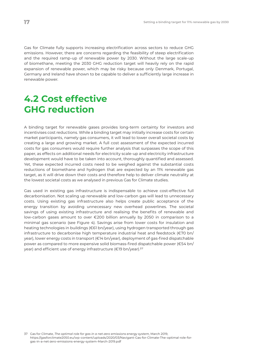Gas for Climate fully supports increasing electrification across sectors to reduce GHG emissions. However, there are concerns regarding the feasibility of steep electrification and the required ramp-up of renewable power by 2030. Without the large scale-up of biomethane, meeting the 2030 GHG reduction target will heavily rely on the rapid expansion of renewable power, which may be risky because only Denmark, Portugal, Germany and Ireland have shown to be capable to deliver a sufficiently large increase in renewable power.

### **4.2 Cost effective GHG reduction**

A binding target for renewable gases provides long-term certainty for investors and incentivises cost reductions. While a binding target may initially increase costs for certain market participants, namely gas consumers, it will lead to lower overall societal costs by creating a large and growing market. A full cost assessment of the expected incurred costs for gas consumers would require further analysis that surpasses the scope of this paper, as effects on additional needs for electricity scale-up and electricity infrastructure development would have to be taken into account, thoroughly quantified and assessed. Yet, these expected incurred costs need to be weighed against the substantial costs reductions of biomethane and hydrogen that are expected by an 11% renewable gas target, as it will drive down their costs and therefore help to deliver climate neutrality at the lowest societal costs as we analysed in previous Gas for Climate studies.

Gas used in existing gas infrastructure is indispensable to achieve cost-effective full decarbonisation. Not scaling up renewable and low-carbon gas will lead to unnecessary costs. Using existing gas infrastructure also helps create public acceptance of the energy transition by avoiding unnecessary new overhead powerlines. The societal savings of using existing infrastructure and realising the benefits of renewable and low-carbon gases amount to over €200 billion annually by 2050 in comparison to a minimal gas scenario (see Figure 4). Savings arise from lower costs for insulation and heating technologies in buildings (€61 bn/year), using hydrogen transported through gas infrastructure to decarbonise high temperature industrial heat and feedstock (€70 bn/ year), lower energy costs in transport (€14 bn/year), deployment of gas-fired dispatchable power as compared to more expensive solid biomass-fired dispatchable power (€54 bn/ year) and efficient use of energy infrastructure (€19 bn/year).<sup>37</sup>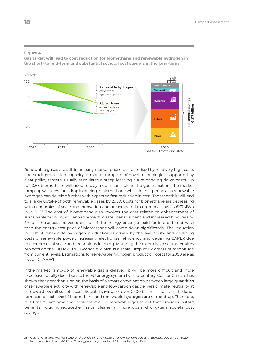#### **Figure 4.**

**Gas target will lead to cost reduction for biomethane and renewable hydrogen in the short- to mid-term and substantial societal cost savings in the long-term**



Renewable gases are still in an early market phase characterised by relatively high costs and small production capacity. A market ramp-up of novel technologies, supported by clear policy targets, usually stimulates a steep learning curve bringing down costs. Up to 2030, biomethane will need to play a dominant role in the gas transition. The market ramp-up will allow for a drop in pricing in biomethane whilst in that period also renewable hydrogen can develop further with expected fast reduction in cost. Together this will lead to a large uptake of both renewable gases by 2050. Costs for biomethane are decreasing with economies of scale and innovation and are expected to drop to as low as €47MWh in 2050.<sup>38</sup> The cost of biomethane also involves the cost related to enhancement of sustainable farming, soil enhancement, waste management and increased biodiversity. Should those cost be vectored out of the energy price (i.e. paid for in a different way) then the energy cost price of biomethane will come down significantly. The reduction in cost of renewable hydrogen production is driven by the availability and declining costs of renewable power, increasing electrolyser efficiency and declining CAPEX due to economies of scale and technology learning. Maturing the electrolyser sector requires projects on the 100 MW to 1 GW scale, which is a scale jump of 1-2 orders of magnitude from current levels. Estimations for renewable hydrogen production costs for 2050 are as low as €17/MWh.

If the market ramp-up of renewable gas is delayed, it will be more difficult and more expensive to fully decarbonise the EU energy system by mid-century. Gas for Climate has shown that decarbonising on the basis of a smart combination between large quantities of renewable electricity with renewable and low-carbon gas delivers climate neutrality at the lowest overall societal cost. Societal savings of over €200 billion annually in the longterm can be achieved if biomethane and renewable hydrogen are ramped-up. Therefore, it is time to act now and implement a 11% renewable gas target that provides instant benefits including reduced emission, cleaner air, more jobs and long-term societal cost savings.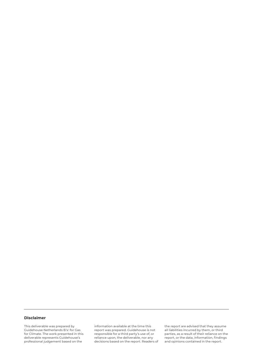#### **Disclaimer**

This deliverable was prepared by Guidehouse Netherlands B.V. for Gas for Climate. The work presented in this deliverable represents Guidehouse's professional judgement based on the

information available at the time this report was prepared. Guidehouse is not responsible for a third party's use of, or reliance upon, the deliverable, nor any decisions based on the report. Readers of the report are advised that they assume all liabilities incurred by them, or third parties, as a result of their reliance on the report, or the data, information, findings and opinions contained in the report.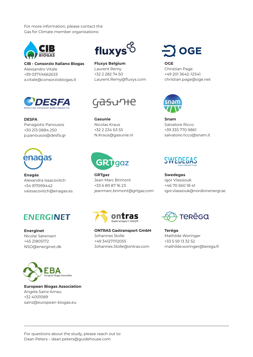For more information, please contact the Gas for Climate member organisations:



**CIB - Consorzio Italiano Biogas** Alessandro Vitale +39 0371/4662633 [a.vitale@consorziobiogas.it](mailto:a.vitale@consorziobiogas.it)



**DESFA** Panagiotis Panousos +30 213 0884 250 [p.panousos@desfa.gr](mailto:p.panousos@desfa.gr)



**Enagás** Alexandra Issacovitch +34 917099442 [vaissacovitch@enagas.es](mailto:vaissacovitch@enagas.es)



**Energinet** Nicolai Sørensen +45 21805172 [NSO@energinet.dk](mailto:NSO@energinet.dk)



**European Biogas Association** Angela Sainz Arnau +32 4001089 [sainz@european-biogas.eu](mailto:sainz@european-biogas.eu)



**Fluxys Belgium** Laurent Remy +32 2 282 74 50 [Laurent.Remy@fluxys.com](mailto:Laurent.Remy@fluxys.com)

## G<del>asu</del>rite

**Gasunie** Nicolas Kraus +32 2 234 63 55 [N.Kraus@gasunie.nl](mailto:N.Kraus@gasunie.nl)



**GRTgaz** Jean Marc Brimont +33 6 89 87 16 23 [jeanmarc.brimont@grtgaz.com](mailto:jeanmarc.brimont@grtgaz.com) **OGE** 

**OGE** Christian Page +49 201 3642–12541 [christian.page@oge.net](mailto:christian.page@oge.net)



**Snam** Salvatore Ricco +39 335 770 9861 [salvatore.ricco@snam.it](mailto:salvatore.ricco@snam.it)



**Swedegas** Igor Vlassiouk +46 70 560 18 41 [igor.vlassiouk@nordionenergi.se](mailto:igor.vlassiouk@nordionenergi.se)



**ONTRAS Gastransport GmbH** Johannes Stolle +49 341271112055 [Johannes.Stolle@ontras.com](mailto:Johannes.Stolle@ontras.com) 



**Teréga** Mathilde Woringer +33 5 59 13 32 52 [mathilde.woringer@terega.fr](mailto:mathilde.woringer@terega.fr)

For questions about the study, please reach out to: Daan Peters – [daan.peters@guidehouse.com](mailto:daan.peters@guidehouse.com)